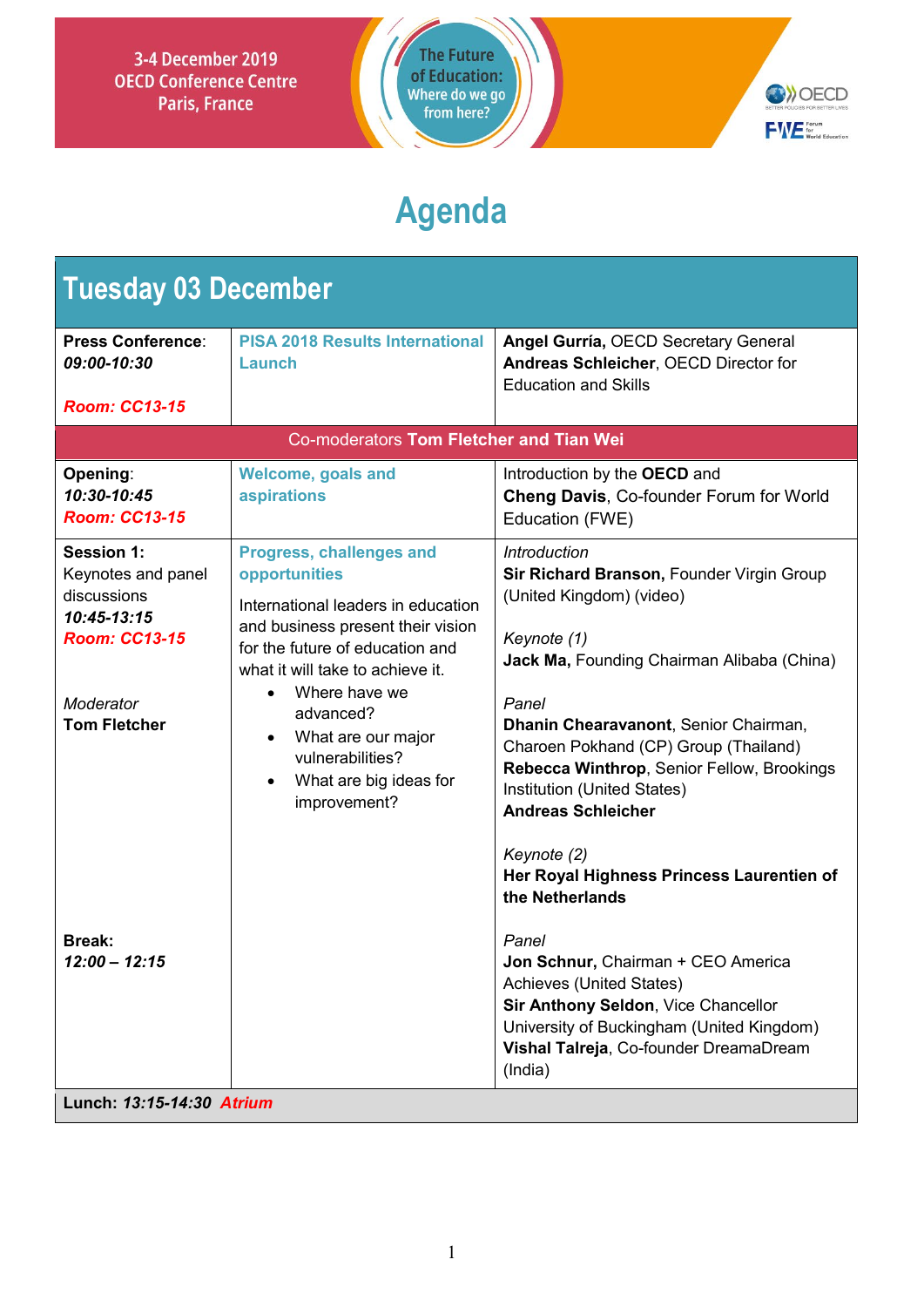



# **Agenda**

| <b>Tuesday 03 December</b>                                                                                                        |                                                                                                                                                                                                                                                                                                                      |                                                                                                                                                                                                                                                                                                                                                                                                                                                             |  |  |
|-----------------------------------------------------------------------------------------------------------------------------------|----------------------------------------------------------------------------------------------------------------------------------------------------------------------------------------------------------------------------------------------------------------------------------------------------------------------|-------------------------------------------------------------------------------------------------------------------------------------------------------------------------------------------------------------------------------------------------------------------------------------------------------------------------------------------------------------------------------------------------------------------------------------------------------------|--|--|
| <b>Press Conference:</b><br>09:00-10:30                                                                                           | <b>PISA 2018 Results International</b><br>Launch                                                                                                                                                                                                                                                                     | Angel Gurría, OECD Secretary General<br>Andreas Schleicher, OECD Director for<br><b>Education and Skills</b>                                                                                                                                                                                                                                                                                                                                                |  |  |
| <b>Room: CC13-15</b>                                                                                                              |                                                                                                                                                                                                                                                                                                                      |                                                                                                                                                                                                                                                                                                                                                                                                                                                             |  |  |
|                                                                                                                                   | Co-moderators Tom Fletcher and Tian Wei                                                                                                                                                                                                                                                                              |                                                                                                                                                                                                                                                                                                                                                                                                                                                             |  |  |
| Opening:<br>10:30-10:45<br><b>Room: CC13-15</b>                                                                                   | <b>Welcome, goals and</b><br>aspirations                                                                                                                                                                                                                                                                             | Introduction by the OECD and<br>Cheng Davis, Co-founder Forum for World<br>Education (FWE)                                                                                                                                                                                                                                                                                                                                                                  |  |  |
| <b>Session 1:</b><br>Keynotes and panel<br>discussions<br>10:45-13:15<br><b>Room: CC13-15</b><br>Moderator<br><b>Tom Fletcher</b> | <b>Progress, challenges and</b><br>opportunities<br>International leaders in education<br>and business present their vision<br>for the future of education and<br>what it will take to achieve it.<br>Where have we<br>advanced?<br>What are our major<br>vulnerabilities?<br>What are big ideas for<br>improvement? | <i><b>Introduction</b></i><br>Sir Richard Branson, Founder Virgin Group<br>(United Kingdom) (video)<br>Keynote (1)<br><b>Jack Ma, Founding Chairman Alibaba (China)</b><br>Panel<br>Dhanin Chearavanont, Senior Chairman,<br>Charoen Pokhand (CP) Group (Thailand)<br>Rebecca Winthrop, Senior Fellow, Brookings<br>Institution (United States)<br><b>Andreas Schleicher</b><br>Keynote (2)<br>Her Royal Highness Princess Laurentien of<br>the Netherlands |  |  |
| <b>Break:</b><br>$12:00 - 12:15$<br>Lunch: 13:15-14:30 Atrium                                                                     |                                                                                                                                                                                                                                                                                                                      | Panel<br>Jon Schnur, Chairman + CEO America<br>Achieves (United States)<br>Sir Anthony Seldon, Vice Chancellor<br>University of Buckingham (United Kingdom)<br>Vishal Talreja, Co-founder DreamaDream<br>(India)                                                                                                                                                                                                                                            |  |  |
|                                                                                                                                   |                                                                                                                                                                                                                                                                                                                      |                                                                                                                                                                                                                                                                                                                                                                                                                                                             |  |  |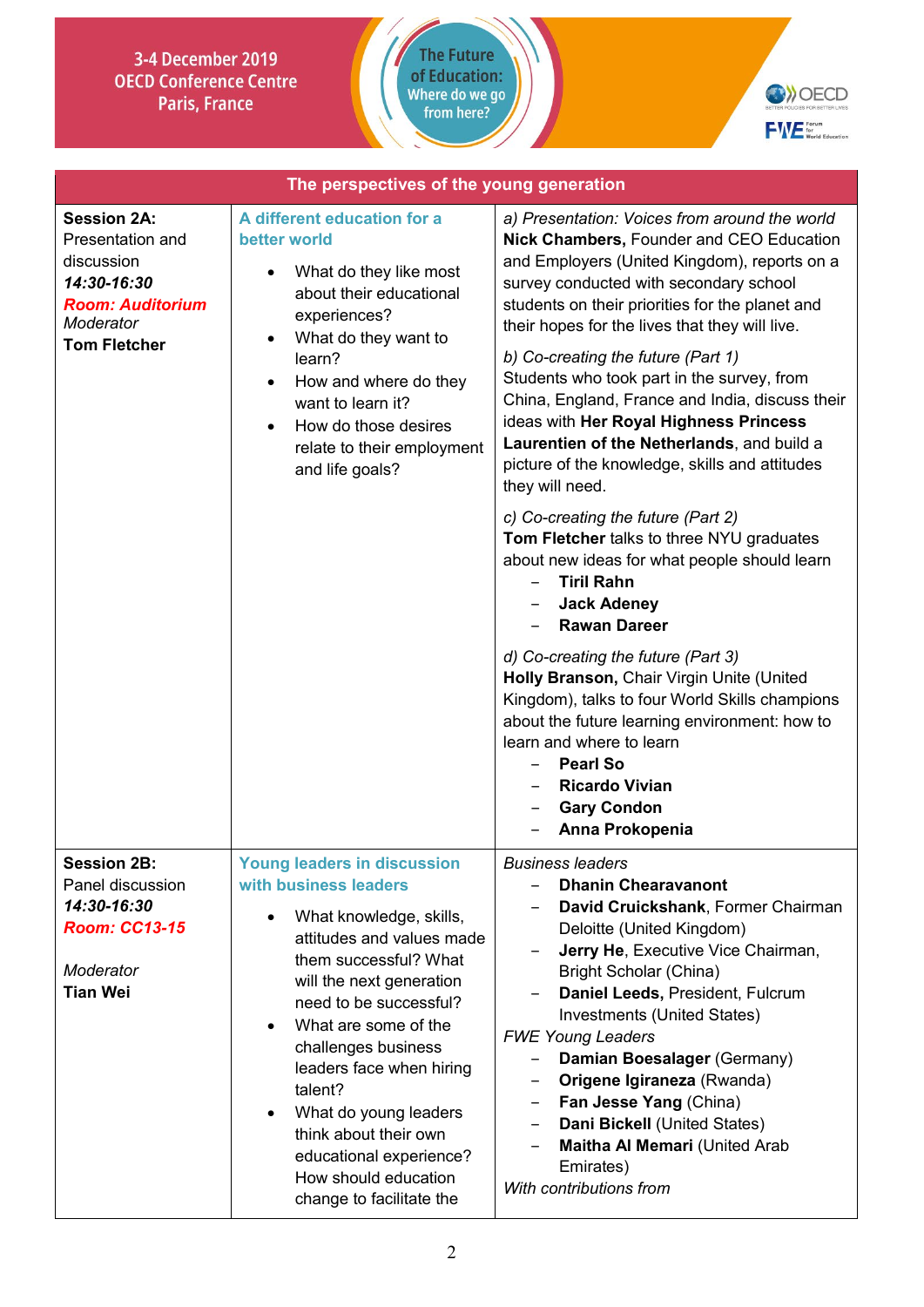



| The perspectives of the young generation                                                                                           |                                                                                                                                                                                                                                                                                                                                                                                                                                        |                                                                                                                                                                                                                                                                                                                                                                                                                                                                                                                                                                                                                                                                                                                                                                                                                                                                                                                                                                                                                                                                                                                 |
|------------------------------------------------------------------------------------------------------------------------------------|----------------------------------------------------------------------------------------------------------------------------------------------------------------------------------------------------------------------------------------------------------------------------------------------------------------------------------------------------------------------------------------------------------------------------------------|-----------------------------------------------------------------------------------------------------------------------------------------------------------------------------------------------------------------------------------------------------------------------------------------------------------------------------------------------------------------------------------------------------------------------------------------------------------------------------------------------------------------------------------------------------------------------------------------------------------------------------------------------------------------------------------------------------------------------------------------------------------------------------------------------------------------------------------------------------------------------------------------------------------------------------------------------------------------------------------------------------------------------------------------------------------------------------------------------------------------|
| <b>Session 2A:</b><br>Presentation and<br>discussion<br>14:30-16:30<br><b>Room: Auditorium</b><br>Moderator<br><b>Tom Fletcher</b> | A different education for a<br>better world<br>What do they like most<br>about their educational<br>experiences?<br>What do they want to<br>learn?<br>How and where do they<br>$\bullet$<br>want to learn it?<br>How do those desires<br>$\bullet$<br>relate to their employment<br>and life goals?                                                                                                                                    | a) Presentation: Voices from around the world<br><b>Nick Chambers, Founder and CEO Education</b><br>and Employers (United Kingdom), reports on a<br>survey conducted with secondary school<br>students on their priorities for the planet and<br>their hopes for the lives that they will live.<br>b) Co-creating the future (Part 1)<br>Students who took part in the survey, from<br>China, England, France and India, discuss their<br>ideas with Her Royal Highness Princess<br>Laurentien of the Netherlands, and build a<br>picture of the knowledge, skills and attitudes<br>they will need.<br>c) Co-creating the future (Part 2)<br>Tom Fletcher talks to three NYU graduates<br>about new ideas for what people should learn<br><b>Tiril Rahn</b><br><b>Jack Adeney</b><br><b>Rawan Dareer</b><br>d) Co-creating the future (Part 3)<br>Holly Branson, Chair Virgin Unite (United<br>Kingdom), talks to four World Skills champions<br>about the future learning environment: how to<br>learn and where to learn<br><b>Pearl So</b><br><b>Ricardo Vivian</b><br><b>Gary Condon</b><br>Anna Prokopenia |
| <b>Session 2B:</b><br>Panel discussion<br>14:30-16:30<br><b>Room: CC13-15</b><br>Moderator<br><b>Tian Wei</b>                      | <b>Young leaders in discussion</b><br>with business leaders<br>What knowledge, skills,<br>attitudes and values made<br>them successful? What<br>will the next generation<br>need to be successful?<br>What are some of the<br>challenges business<br>leaders face when hiring<br>talent?<br>What do young leaders<br>$\bullet$<br>think about their own<br>educational experience?<br>How should education<br>change to facilitate the | <b>Business leaders</b><br><b>Dhanin Chearavanont</b><br>David Cruickshank, Former Chairman<br>Deloitte (United Kingdom)<br>Jerry He, Executive Vice Chairman,<br><b>Bright Scholar (China)</b><br>Daniel Leeds, President, Fulcrum<br>Investments (United States)<br><b>FWE Young Leaders</b><br>Damian Boesalager (Germany)<br>Origene Igiraneza (Rwanda)<br>$\qquad \qquad -$<br>Fan Jesse Yang (China)<br>$\qquad \qquad -$<br>Dani Bickell (United States)<br>$\overline{\phantom{m}}$<br>Maitha Al Memari (United Arab<br>Emirates)<br>With contributions from                                                                                                                                                                                                                                                                                                                                                                                                                                                                                                                                            |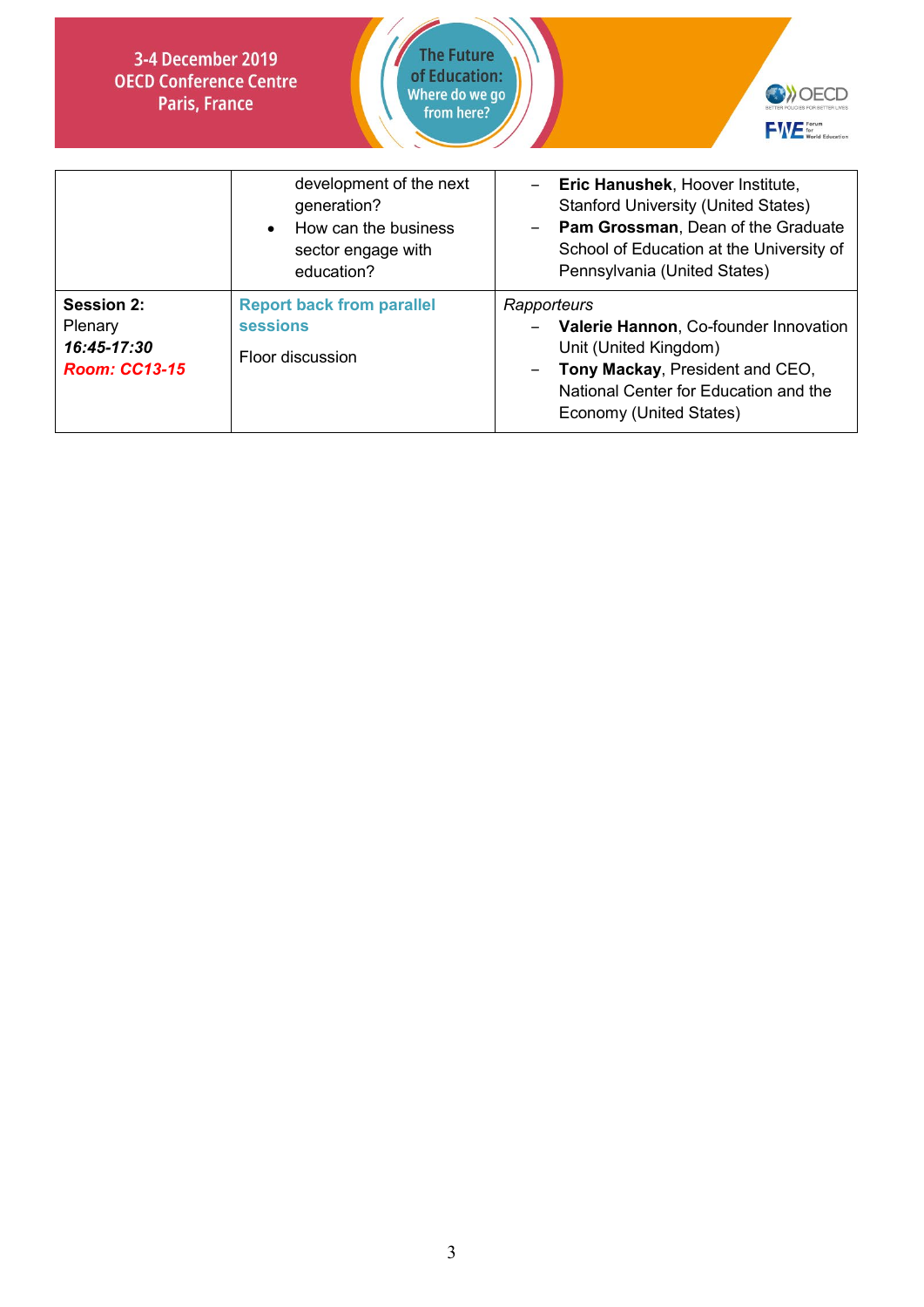



|                                                              | development of the next<br>generation?<br>How can the business<br>sector engage with<br>education? | Eric Hanushek, Hoover Institute,<br><b>Stanford University (United States)</b><br>- Pam Grossman, Dean of the Graduate<br>School of Education at the University of<br>Pennsylvania (United States) |
|--------------------------------------------------------------|----------------------------------------------------------------------------------------------------|----------------------------------------------------------------------------------------------------------------------------------------------------------------------------------------------------|
| Session 2:<br>Plenary<br>16:45-17:30<br><b>Room: CC13-15</b> | <b>Report back from parallel</b><br><b>sessions</b><br>Floor discussion                            | Rapporteurs<br>Valerie Hannon, Co-founder Innovation<br>Unit (United Kingdom)<br>Tony Mackay, President and CEO,<br>National Center for Education and the<br>Economy (United States)               |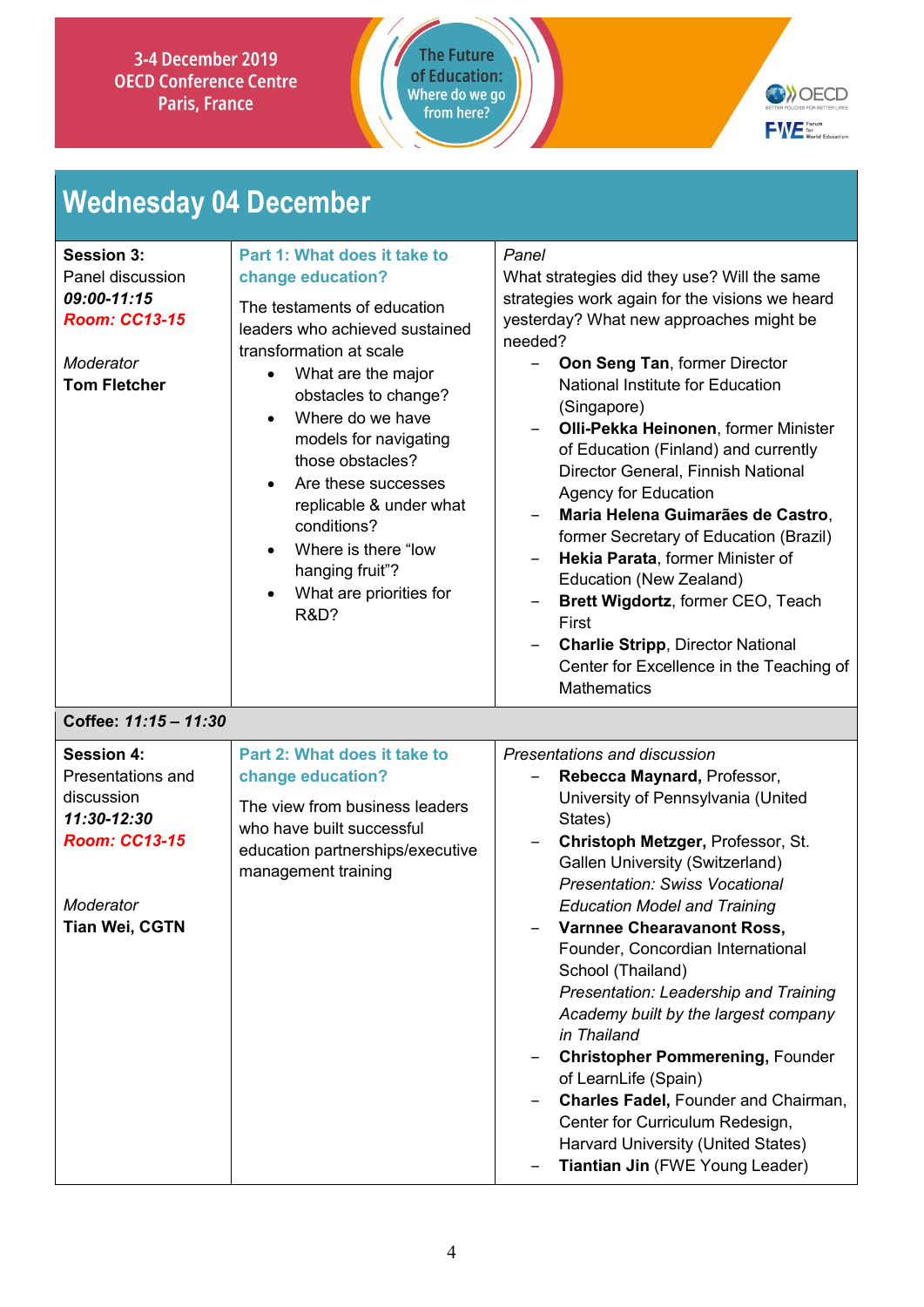



# **Wednesday 04 December**

| <b>Session 3:</b><br>Panel discussion<br>09:00-11:15<br><b>Room: CC13-15</b><br>Moderator<br><b>Tom Fletcher</b><br>Coffee: 11:15 - 11:30 | Part 1: What does it take to<br>change education?<br>The testaments of education<br>leaders who achieved sustained<br>transformation at scale<br>What are the major<br>$\bullet$<br>obstacles to change?<br>Where do we have<br>models for navigating<br>those obstacles?<br>Are these successes<br>replicable & under what<br>conditions?<br>Where is there "low<br>hanging fruit"?<br>What are priorities for<br><b>R&amp;D?</b> | Panel<br>What strategies did they use? Will the same<br>strategies work again for the visions we heard<br>yesterday? What new approaches might be<br>needed?<br><b>Oon Seng Tan, former Director</b><br>$-$<br>National Institute for Education<br>(Singapore)<br>Olli-Pekka Heinonen, former Minister<br>of Education (Finland) and currently<br>Director General, Finnish National<br><b>Agency for Education</b><br>Maria Helena Guimarães de Castro,<br>former Secretary of Education (Brazil)<br>Hekia Parata, former Minister of<br>Education (New Zealand)<br>Brett Wigdortz, former CEO, Teach<br>First<br><b>Charlie Stripp, Director National</b><br>Center for Excellence in the Teaching of<br><b>Mathematics</b> |
|-------------------------------------------------------------------------------------------------------------------------------------------|------------------------------------------------------------------------------------------------------------------------------------------------------------------------------------------------------------------------------------------------------------------------------------------------------------------------------------------------------------------------------------------------------------------------------------|-------------------------------------------------------------------------------------------------------------------------------------------------------------------------------------------------------------------------------------------------------------------------------------------------------------------------------------------------------------------------------------------------------------------------------------------------------------------------------------------------------------------------------------------------------------------------------------------------------------------------------------------------------------------------------------------------------------------------------|
| <b>Session 4:</b><br>Presentations and<br>discussion<br>11:30-12:30<br><b>Room: CC13-15</b><br>Moderator<br>Tian Wei, CGTN                | Part 2: What does it take to<br>change education?<br>The view from business leaders<br>who have built successful<br>education partnerships/executive<br>management training                                                                                                                                                                                                                                                        | Presentations and discussion<br>Rebecca Maynard, Professor,<br>University of Pennsylvania (United<br>States)<br>Christoph Metzger, Professor, St.<br>$\overline{\phantom{m}}$<br><b>Gallen University (Switzerland)</b><br><b>Presentation: Swiss Vocational</b><br><b>Education Model and Training</b><br>Varnnee Chearavanont Ross,<br>Founder, Concordian International<br>School (Thailand)<br>Presentation: Leadership and Training<br>Academy built by the largest company<br>in Thailand<br><b>Christopher Pommerening, Founder</b><br>of LearnLife (Spain)<br>Charles Fadel, Founder and Chairman,<br>Center for Curriculum Redesign,<br>Harvard University (United States)<br>Tiantian Jin (FWE Young Leader)        |